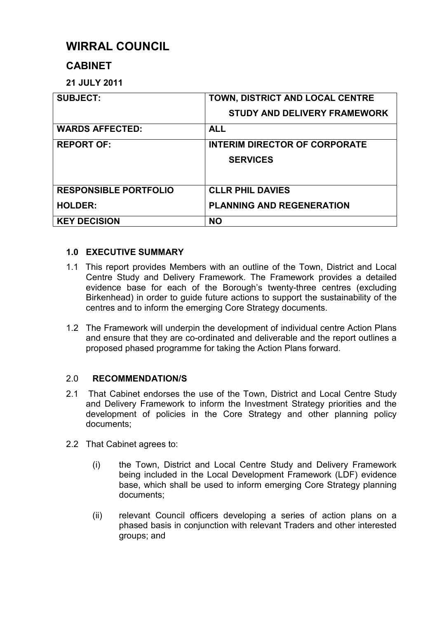# **WIRRAL COUNCIL**

# **CABINET**

# **21 JULY 2011**

| <b>SUBJECT:</b>              | TOWN, DISTRICT AND LOCAL CENTRE      |
|------------------------------|--------------------------------------|
|                              | <b>STUDY AND DELIVERY FRAMEWORK</b>  |
| <b>WARDS AFFECTED:</b>       | <b>ALL</b>                           |
| <b>REPORT OF:</b>            | <b>INTERIM DIRECTOR OF CORPORATE</b> |
|                              | <b>SERVICES</b>                      |
|                              |                                      |
| <b>RESPONSIBLE PORTFOLIO</b> | <b>CLLR PHIL DAVIES</b>              |
| <b>HOLDER:</b>               | <b>PLANNING AND REGENERATION</b>     |
| <b>KEY DECISION</b>          | <b>NO</b>                            |

# **1.0 EXECUTIVE SUMMARY**

- 1.1 This report provides Members with an outline of the Town, District and Local Centre Study and Delivery Framework. The Framework provides a detailed evidence base for each of the Borough's twenty-three centres (excluding Birkenhead) in order to guide future actions to support the sustainability of the centres and to inform the emerging Core Strategy documents.
- 1.2 The Framework will underpin the development of individual centre Action Plans and ensure that they are co-ordinated and deliverable and the report outlines a proposed phased programme for taking the Action Plans forward.

# 2.0 **RECOMMENDATION/S**

- 2.1 That Cabinet endorses the use of the Town, District and Local Centre Study and Delivery Framework to inform the Investment Strategy priorities and the development of policies in the Core Strategy and other planning policy documents;
- 2.2 That Cabinet agrees to:
	- (i) the Town, District and Local Centre Study and Delivery Framework being included in the Local Development Framework (LDF) evidence base, which shall be used to inform emerging Core Strategy planning documents;
	- (ii) relevant Council officers developing a series of action plans on a phased basis in conjunction with relevant Traders and other interested groups; and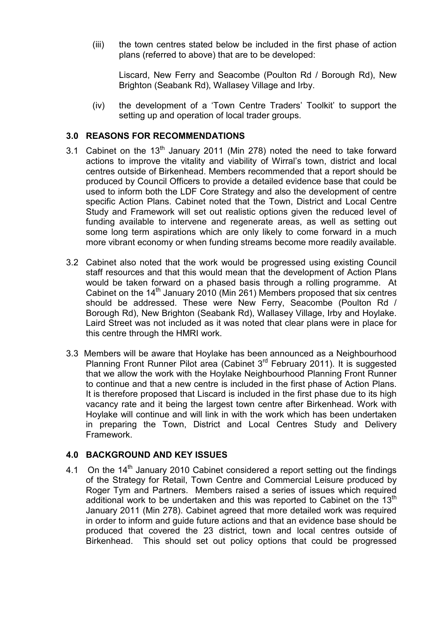(iii) the town centres stated below be included in the first phase of action plans (referred to above) that are to be developed:

Liscard, New Ferry and Seacombe (Poulton Rd / Borough Rd), New Brighton (Seabank Rd), Wallasey Village and Irby.

(iv) the development of a 'Town Centre Traders' Toolkit' to support the setting up and operation of local trader groups.

## **3.0 REASONS FOR RECOMMENDATIONS**

- 3.1 Cabinet on the 13<sup>th</sup> January 2011 (Min 278) noted the need to take forward actions to improve the vitality and viability of Wirral's town, district and local centres outside of Birkenhead. Members recommended that a report should be produced by Council Officers to provide a detailed evidence base that could be used to inform both the LDF Core Strategy and also the development of centre specific Action Plans. Cabinet noted that the Town, District and Local Centre Study and Framework will set out realistic options given the reduced level of funding available to intervene and regenerate areas, as well as setting out some long term aspirations which are only likely to come forward in a much more vibrant economy or when funding streams become more readily available.
- 3.2 Cabinet also noted that the work would be progressed using existing Council staff resources and that this would mean that the development of Action Plans would be taken forward on a phased basis through a rolling programme. At Cabinet on the 14<sup>th</sup> January 2010 (Min 261) Members proposed that six centres should be addressed. These were New Ferry, Seacombe (Poulton Rd / Borough Rd), New Brighton (Seabank Rd), Wallasey Village, Irby and Hoylake. Laird Street was not included as it was noted that clear plans were in place for this centre through the HMRI work.
- 3.3 Members will be aware that Hoylake has been announced as a Neighbourhood Planning Front Runner Pilot area (Cabinet  $3<sup>rd</sup>$  February 2011). It is suggested that we allow the work with the Hoylake Neighbourhood Planning Front Runner to continue and that a new centre is included in the first phase of Action Plans. It is therefore proposed that Liscard is included in the first phase due to its high vacancy rate and it being the largest town centre after Birkenhead. Work with Hoylake will continue and will link in with the work which has been undertaken in preparing the Town, District and Local Centres Study and Delivery Framework.

# **4.0 BACKGROUND AND KEY ISSUES**

4.1 On the  $14<sup>th</sup>$  January 2010 Cabinet considered a report setting out the findings of the Strategy for Retail, Town Centre and Commercial Leisure produced by Roger Tym and Partners. Members raised a series of issues which required additional work to be undertaken and this was reported to Cabinet on the  $13<sup>th</sup>$ January 2011 (Min 278). Cabinet agreed that more detailed work was required in order to inform and guide future actions and that an evidence base should be produced that covered the 23 district, town and local centres outside of Birkenhead. This should set out policy options that could be progressed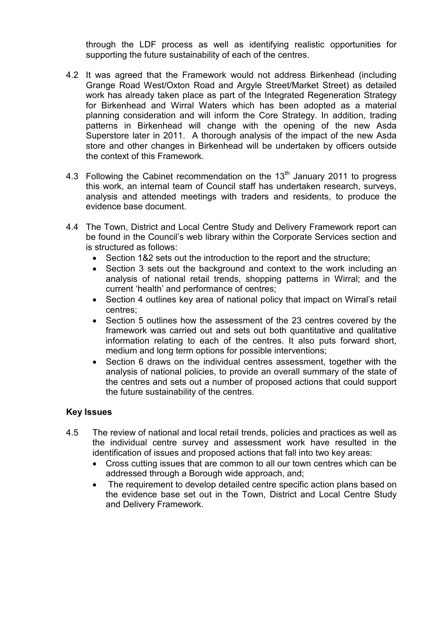through the LDF process as well as identifying realistic opportunities for supporting the future sustainability of each of the centres.

- 4.2 It was agreed that the Framework would not address Birkenhead (including Grange Road West/Oxton Road and Argyle Street/Market Street) as detailed work has already taken place as part of the Integrated Regeneration Strategy for Birkenhead and Wirral Waters which has been adopted as a material planning consideration and will inform the Core Strategy. In addition, trading patterns in Birkenhead will change with the opening of the new Asda Superstore later in 2011. A thorough analysis of the impact of the new Asda store and other changes in Birkenhead will be undertaken by officers outside the context of this Framework.
- 4.3 Following the Cabinet recommendation on the  $13<sup>th</sup>$  January 2011 to progress this work, an internal team of Council staff has undertaken research, surveys, analysis and attended meetings with traders and residents, to produce the evidence base document.
- 4.4 The Town, District and Local Centre Study and Delivery Framework report can be found in the Council's web library within the Corporate Services section and is structured as follows:
	- Section 1&2 sets out the introduction to the report and the structure;
	- Section 3 sets out the background and context to the work including an analysis of national retail trends, shopping patterns in Wirral; and the current 'health' and performance of centres;
	- Section 4 outlines key area of national policy that impact on Wirral's retail centres;
	- Section 5 outlines how the assessment of the 23 centres covered by the framework was carried out and sets out both quantitative and qualitative information relating to each of the centres. It also puts forward short, medium and long term options for possible interventions;
	- Section 6 draws on the individual centres assessment, together with the analysis of national policies, to provide an overall summary of the state of the centres and sets out a number of proposed actions that could support the future sustainability of the centres.

## **Key Issues**

- 4.5 The review of national and local retail trends, policies and practices as well as the individual centre survey and assessment work have resulted in the identification of issues and proposed actions that fall into two key areas:
	- Cross cutting issues that are common to all our town centres which can be addressed through a Borough wide approach, and;
	- The requirement to develop detailed centre specific action plans based on the evidence base set out in the Town, District and Local Centre Study and Delivery Framework.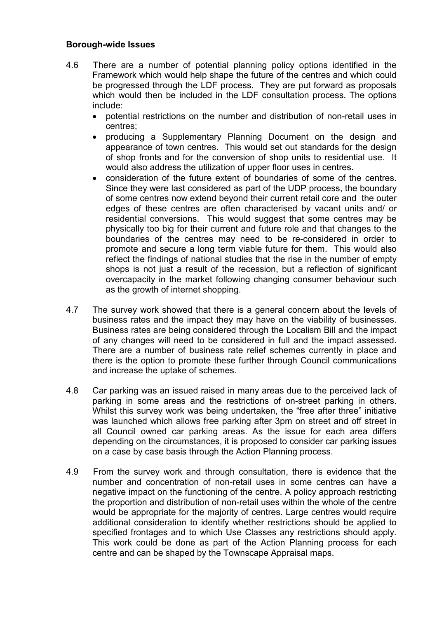#### **Borough-wide Issues**

- 4.6 There are a number of potential planning policy options identified in the Framework which would help shape the future of the centres and which could be progressed through the LDF process. They are put forward as proposals which would then be included in the LDF consultation process. The options include:
	- potential restrictions on the number and distribution of non-retail uses in centres;
	- producing a Supplementary Planning Document on the design and appearance of town centres. This would set out standards for the design of shop fronts and for the conversion of shop units to residential use. It would also address the utilization of upper floor uses in centres.
	- consideration of the future extent of boundaries of some of the centres. Since they were last considered as part of the UDP process, the boundary of some centres now extend beyond their current retail core and the outer edges of these centres are often characterised by vacant units and/ or residential conversions. This would suggest that some centres may be physically too big for their current and future role and that changes to the boundaries of the centres may need to be re-considered in order to promote and secure a long term viable future for them. This would also reflect the findings of national studies that the rise in the number of empty shops is not just a result of the recession, but a reflection of significant overcapacity in the market following changing consumer behaviour such as the growth of internet shopping.
- 4.7 The survey work showed that there is a general concern about the levels of business rates and the impact they may have on the viability of businesses. Business rates are being considered through the Localism Bill and the impact of any changes will need to be considered in full and the impact assessed. There are a number of business rate relief schemes currently in place and there is the option to promote these further through Council communications and increase the uptake of schemes.
- 4.8 Car parking was an issued raised in many areas due to the perceived lack of parking in some areas and the restrictions of on-street parking in others. Whilst this survey work was being undertaken, the "free after three" initiative was launched which allows free parking after 3pm on street and off street in all Council owned car parking areas. As the issue for each area differs depending on the circumstances, it is proposed to consider car parking issues on a case by case basis through the Action Planning process.
- 4.9 From the survey work and through consultation, there is evidence that the number and concentration of non-retail uses in some centres can have a negative impact on the functioning of the centre. A policy approach restricting the proportion and distribution of non-retail uses within the whole of the centre would be appropriate for the majority of centres. Large centres would require additional consideration to identify whether restrictions should be applied to specified frontages and to which Use Classes any restrictions should apply. This work could be done as part of the Action Planning process for each centre and can be shaped by the Townscape Appraisal maps.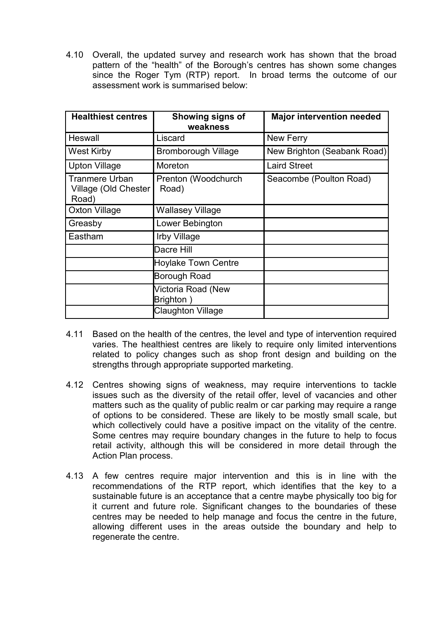4.10 Overall, the updated survey and research work has shown that the broad pattern of the "health" of the Borough's centres has shown some changes since the Roger Tym (RTP) report. In broad terms the outcome of our assessment work is summarised below:

| <b>Healthiest centres</b>                              | <b>Showing signs of</b><br>weakness | <b>Major intervention needed</b> |
|--------------------------------------------------------|-------------------------------------|----------------------------------|
| Heswall                                                | Liscard                             | New Ferry                        |
| <b>West Kirby</b>                                      | <b>Bromborough Village</b>          | New Brighton (Seabank Road)      |
| <b>Upton Village</b>                                   | Moreton                             | <b>Laird Street</b>              |
| <b>Tranmere Urban</b><br>Village (Old Chester<br>Road) | Prenton (Woodchurch<br>Road)        | Seacombe (Poulton Road)          |
| <b>Oxton Village</b>                                   | <b>Wallasey Village</b>             |                                  |
| Greasby                                                | Lower Bebington                     |                                  |
| Eastham                                                | <b>Irby Village</b>                 |                                  |
|                                                        | Dacre Hill                          |                                  |
|                                                        | <b>Hoylake Town Centre</b>          |                                  |
|                                                        | Borough Road                        |                                  |
|                                                        | Victoria Road (New<br>Brighton      |                                  |
|                                                        | <b>Claughton Village</b>            |                                  |

- 4.11 Based on the health of the centres, the level and type of intervention required varies. The healthiest centres are likely to require only limited interventions related to policy changes such as shop front design and building on the strengths through appropriate supported marketing.
- 4.12 Centres showing signs of weakness, may require interventions to tackle issues such as the diversity of the retail offer, level of vacancies and other matters such as the quality of public realm or car parking may require a range of options to be considered. These are likely to be mostly small scale, but which collectively could have a positive impact on the vitality of the centre. Some centres may require boundary changes in the future to help to focus retail activity, although this will be considered in more detail through the Action Plan process.
- 4.13 A few centres require major intervention and this is in line with the recommendations of the RTP report, which identifies that the key to a sustainable future is an acceptance that a centre maybe physically too big for it current and future role. Significant changes to the boundaries of these centres may be needed to help manage and focus the centre in the future, allowing different uses in the areas outside the boundary and help to regenerate the centre.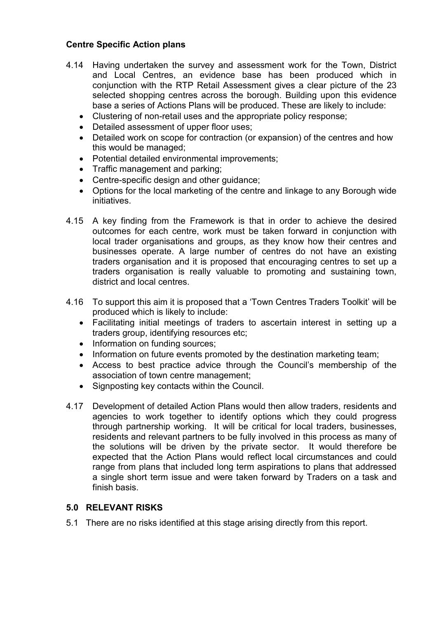# **Centre Specific Action plans**

- 4.14 Having undertaken the survey and assessment work for the Town, District and Local Centres, an evidence base has been produced which in conjunction with the RTP Retail Assessment gives a clear picture of the 23 selected shopping centres across the borough. Building upon this evidence base a series of Actions Plans will be produced. These are likely to include:
	- Clustering of non-retail uses and the appropriate policy response;
	- Detailed assessment of upper floor uses;
	- Detailed work on scope for contraction (or expansion) of the centres and how this would be managed;
	- Potential detailed environmental improvements;
	- Traffic management and parking;
	- Centre-specific design and other guidance;
	- Options for the local marketing of the centre and linkage to any Borough wide initiatives.
- 4.15 A key finding from the Framework is that in order to achieve the desired outcomes for each centre, work must be taken forward in conjunction with local trader organisations and groups, as they know how their centres and businesses operate. A large number of centres do not have an existing traders organisation and it is proposed that encouraging centres to set up a traders organisation is really valuable to promoting and sustaining town, district and local centres.
- 4.16 To support this aim it is proposed that a 'Town Centres Traders Toolkit' will be produced which is likely to include:
	- Facilitating initial meetings of traders to ascertain interest in setting up a traders group, identifying resources etc;
	- Information on funding sources;
	- Information on future events promoted by the destination marketing team;
	- Access to best practice advice through the Council's membership of the association of town centre management;
	- Signposting key contacts within the Council.
- 4.17 Development of detailed Action Plans would then allow traders, residents and agencies to work together to identify options which they could progress through partnership working. It will be critical for local traders, businesses, residents and relevant partners to be fully involved in this process as many of the solutions will be driven by the private sector. It would therefore be expected that the Action Plans would reflect local circumstances and could range from plans that included long term aspirations to plans that addressed a single short term issue and were taken forward by Traders on a task and finish basis.

## **5.0 RELEVANT RISKS**

5.1 There are no risks identified at this stage arising directly from this report.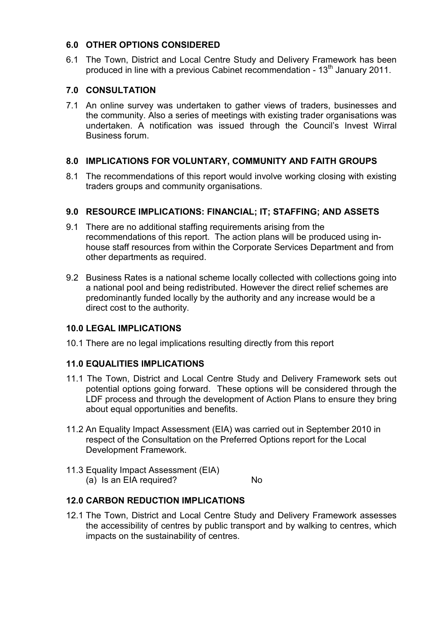# **6.0 OTHER OPTIONS CONSIDERED**

6.1 The Town, District and Local Centre Study and Delivery Framework has been produced in line with a previous Cabinet recommendation - 13<sup>th</sup> January 2011.

# **7.0 CONSULTATION**

7.1 An online survey was undertaken to gather views of traders, businesses and the community. Also a series of meetings with existing trader organisations was undertaken. A notification was issued through the Council's Invest Wirral Business forum.

# **8.0 IMPLICATIONS FOR VOLUNTARY, COMMUNITY AND FAITH GROUPS**

8.1 The recommendations of this report would involve working closing with existing traders groups and community organisations.

## **9.0 RESOURCE IMPLICATIONS: FINANCIAL; IT; STAFFING; AND ASSETS**

- 9.1 There are no additional staffing requirements arising from the recommendations of this report. The action plans will be produced using inhouse staff resources from within the Corporate Services Department and from other departments as required.
- 9.2 Business Rates is a national scheme locally collected with collections going into a national pool and being redistributed. However the direct relief schemes are predominantly funded locally by the authority and any increase would be a direct cost to the authority.

## **10.0 LEGAL IMPLICATIONS**

10.1 There are no legal implications resulting directly from this report

## **11.0 EQUALITIES IMPLICATIONS**

- 11.1 The Town, District and Local Centre Study and Delivery Framework sets out potential options going forward. These options will be considered through the LDF process and through the development of Action Plans to ensure they bring about equal opportunities and benefits.
- 11.2 An Equality Impact Assessment (EIA) was carried out in September 2010 in respect of the Consultation on the Preferred Options report for the Local Development Framework.
- 11.3 Equality Impact Assessment (EIA) (a) Is an EIA required? No

## **12.0 CARBON REDUCTION IMPLICATIONS**

12.1 The Town, District and Local Centre Study and Delivery Framework assesses the accessibility of centres by public transport and by walking to centres, which impacts on the sustainability of centres.